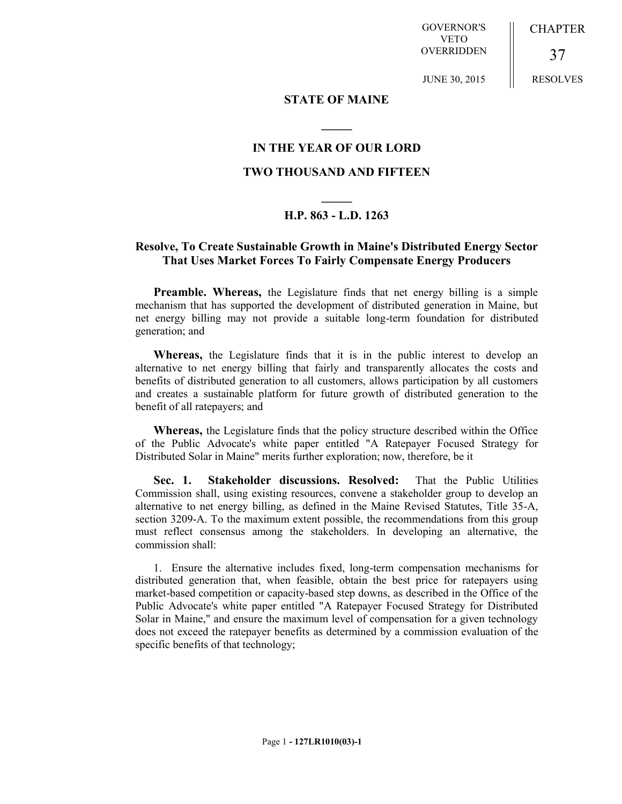GOVERNOR'S VETO OVERRIDDEN

JUNE 30, 2015

**CHAPTER** 

RESOLVES

37

## **STATE OF MAINE**

## **IN THE YEAR OF OUR LORD TWO THOUSAND AND FIFTEEN**

**\_\_\_\_\_**

## **\_\_\_\_\_ H.P. 863 - L.D. 1263**

## **Resolve, To Create Sustainable Growth in Maine's Distributed Energy Sector That Uses Market Forces To Fairly Compensate Energy Producers**

**Preamble. Whereas,** the Legislature finds that net energy billing is a simple mechanism that has supported the development of distributed generation in Maine, but net energy billing may not provide a suitable long-term foundation for distributed generation; and

**Whereas,** the Legislature finds that it is in the public interest to develop an alternative to net energy billing that fairly and transparently allocates the costs and benefits of distributed generation to all customers, allows participation by all customers and creates a sustainable platform for future growth of distributed generation to the benefit of all ratepayers; and

**Whereas,** the Legislature finds that the policy structure described within the Office of the Public Advocate's white paper entitled "A Ratepayer Focused Strategy for Distributed Solar in Maine" merits further exploration; now, therefore, be it

**Sec. 1. Stakeholder discussions. Resolved:** That the Public Utilities Commission shall, using existing resources, convene a stakeholder group to develop an alternative to net energy billing, as defined in the Maine Revised Statutes, Title 35-A, section 3209-A. To the maximum extent possible, the recommendations from this group must reflect consensus among the stakeholders. In developing an alternative, the commission shall:

1. Ensure the alternative includes fixed, long-term compensation mechanisms for distributed generation that, when feasible, obtain the best price for ratepayers using market-based competition or capacity-based step downs, as described in the Office of the Public Advocate's white paper entitled "A Ratepayer Focused Strategy for Distributed Solar in Maine," and ensure the maximum level of compensation for a given technology does not exceed the ratepayer benefits as determined by a commission evaluation of the specific benefits of that technology;